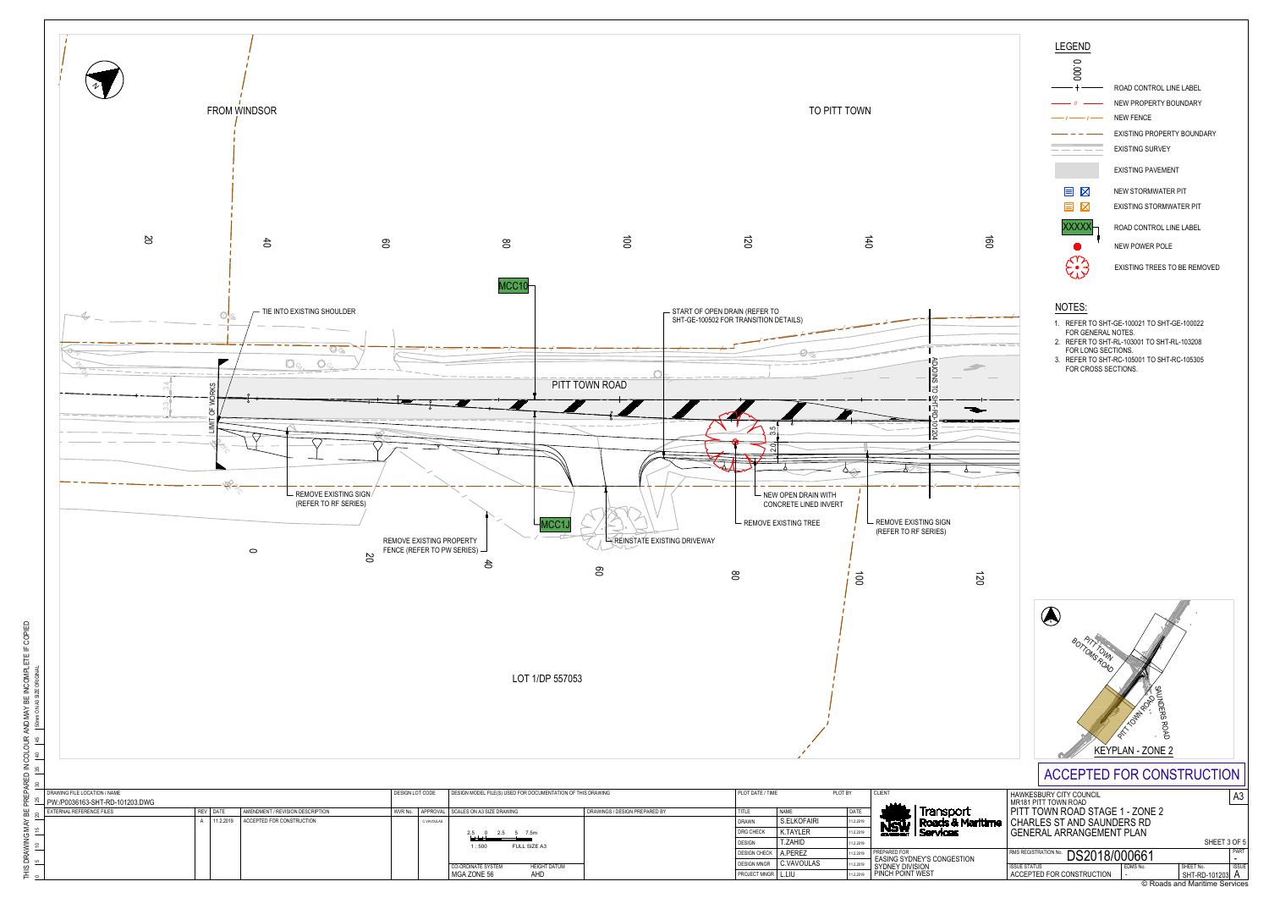**NSW** 2.2019 PREPARED FC PREPARED FOR EASING SYDNEY'S CONGESTION SYDNEY DIVISION PINCH POINT WEST

K.TAYLER 11.2.2019

T.ZAHID DESIGN CHECK | A.PEREZ DESIGN MNGR C.VAVOULAS |1

11.2.2019 12.2019

2.5 0 2.5 5 7.5m 1 : 500 FULL SIZE A3

**CO-ORDINATE SYSTEM** HEIGHT DATUM<br>MGA ZONE 56 AHD

 $\overline{a}$ 



- 1. REFER TO SHT-GE-100021 TO SHT-GE-100022 FOR GENERAL NOTES.
- 2. REFER TO SHT-RL-103001 TO SHT-RL-103208 FOR LONG SECTIONS.
- 3. REFER TO SHT-RC-105001 TO SHT-RC-105305 FOR CROSS SECTIONS.

L.LIU MGA ZONE 56 AHD 11.2.2019 PROJECT MNGR



DESIGN

DRG CHECK

## NOTES:

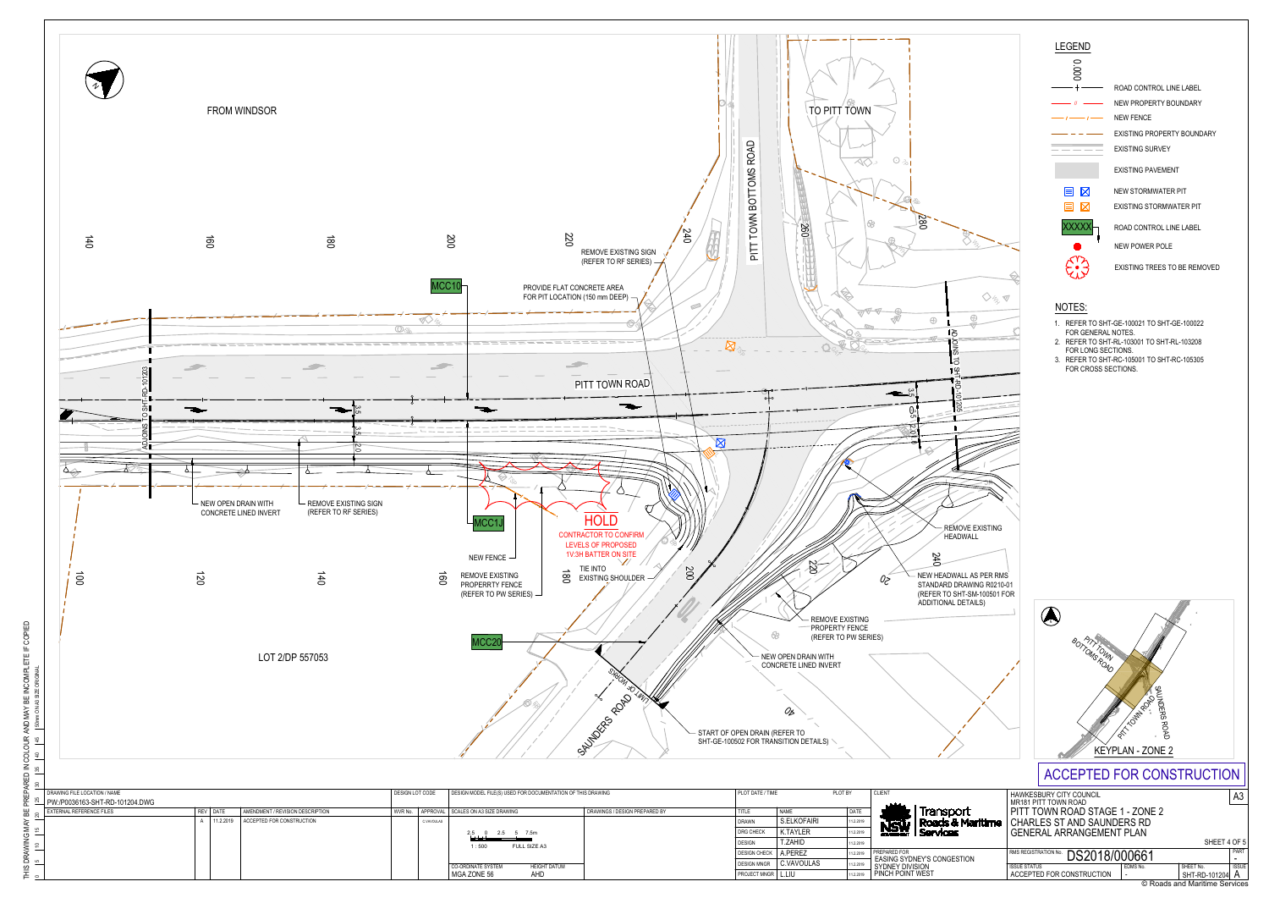| ⊞                   | <b>DRAWING FILE LOCATION / NAME</b>  |  |            |                                  | DESIGN MODEL FILE(S) USED FOR DOCUMENTATION OF THIS DRAWING<br>DESIGN LOT CODE |                                                  |                               | PLOT DATE / TIME            |             | PLOT BY   | <b>CLIENT</b>                                 |
|---------------------|--------------------------------------|--|------------|----------------------------------|--------------------------------------------------------------------------------|--------------------------------------------------|-------------------------------|-----------------------------|-------------|-----------|-----------------------------------------------|
|                     | 图 원 이 PW:/P0036163-SHT-RD-101204.DWG |  |            |                                  |                                                                                |                                                  |                               |                             |             |           |                                               |
|                     | <b>H</b> & EXTERNAL REFERENCE FILES  |  | REV   DATE | AMENDMENT / REVISION DESCRIPTION |                                                                                | WVR No. APPROVAL SCALES ON A3 SIZE DRAWING       | DRAWINGS / DESIGN PREPARED BY | TITLE                       | <b>NAME</b> | DATE      | Transpo                                       |
| MA)<br>15           |                                      |  | 11.2.2019  | ACCEPTED FOR CONSTRUCTION        |                                                                                | <b>C.VAVOULAS</b>                                |                               | <b>DRAWN</b>                | S.ELKOFAIRI | 11.2.2019 | Roads &                                       |
|                     |                                      |  |            |                                  |                                                                                | 2.5 5 7.5m<br>$2.5 \t 0$                         |                               | DRG CHECK                   | K.TAYLER    | 11.2.2019 | <b>NSW</b><br><b>Services</b>                 |
| 1 <sub>10</sub>     |                                      |  |            |                                  |                                                                                | <b>FULL SIZE A3</b><br>1:500                     |                               | <b>DESIGN</b>               | T.ZAHID     | 11.2.2019 |                                               |
|                     |                                      |  |            |                                  |                                                                                |                                                  |                               | DESIGN CHECK A.PEREZ        |             | 11.2.2019 | PREPARED FOR<br><b>EASING SYDNEY'S CONGES</b> |
| ៜ。                  |                                      |  |            |                                  |                                                                                | <b>HEIGHT DATUM</b><br><b>CO-ORDINATE SYSTEM</b> |                               | <b>DESIGN MNGR</b>          | C.VAVOULAS  | 11.2.2019 | SYDNEY DIVISION                               |
| $\sqsubset$ $\circ$ |                                      |  |            |                                  |                                                                                | MGA ZONE 56<br>AHD                               |                               | <b>PROJECT MNGR   L.LIU</b> |             | 11.2.2019 | <b>PINCH POINT WEST</b>                       |

ARED IN COLOUR AND MAY BE INCOMPLETE IF COPIED<br>|<sup>30</sup> |<sup>35</sup> |<sup>40</sup> |<sup>40</sup> |<sup>30</sup> mn ON A3 SIZE ORISINAL REI<br>|<sub>전</sup></sub>  $\frac{1}{2}$  $G$  MAY<br> $\begin{bmatrix} 15 \\ 15 \end{bmatrix}$  $\sum_{i=1}^{\infty}$ i DRAN<br>|<sup>5</sup>